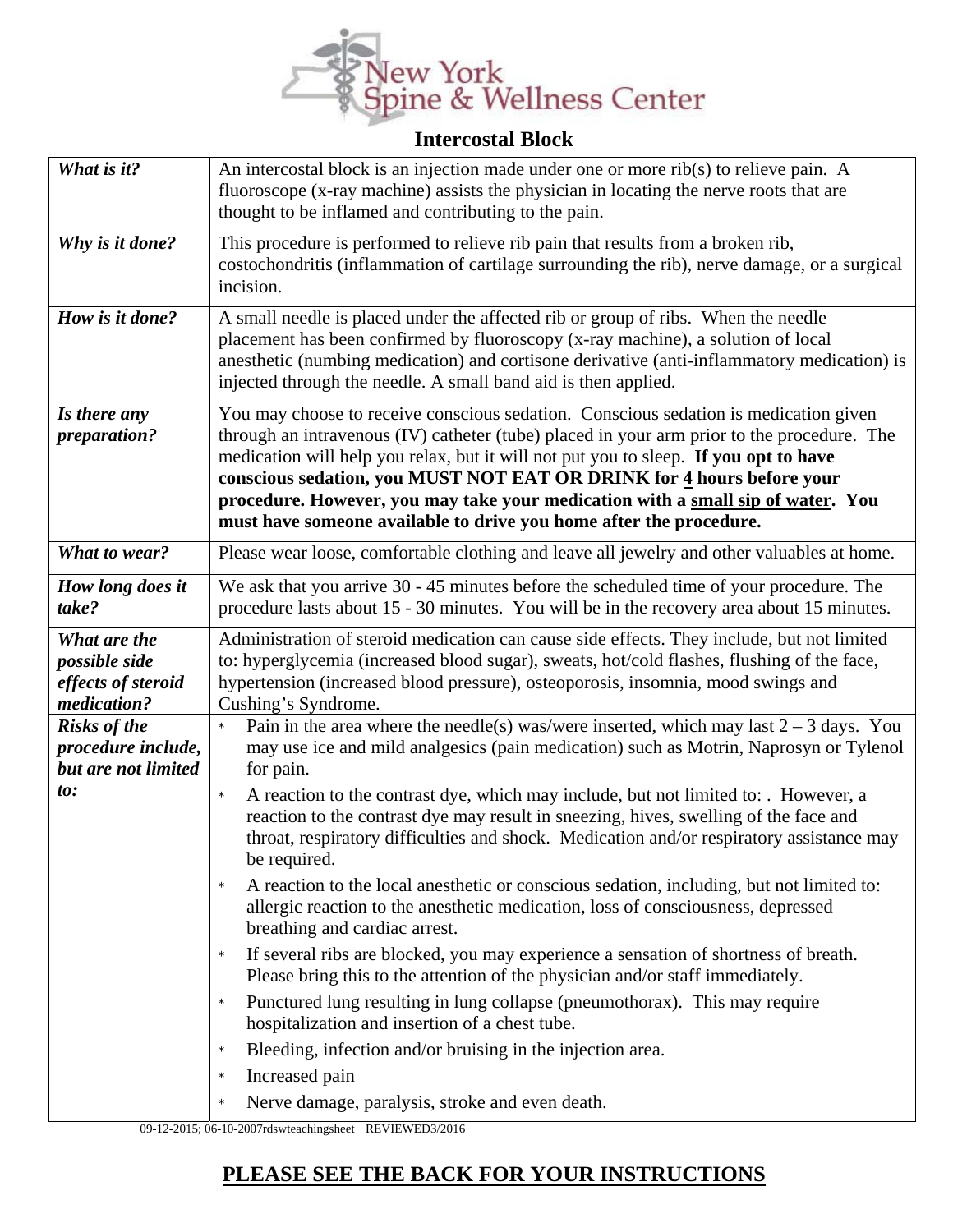

## **Intercostal Block**

| What is it?                                                        | An intercostal block is an injection made under one or more rib(s) to relieve pain. A<br>fluoroscope (x-ray machine) assists the physician in locating the nerve roots that are<br>thought to be inflamed and contributing to the pain.                                                                                                                                                                                                                                                                      |
|--------------------------------------------------------------------|--------------------------------------------------------------------------------------------------------------------------------------------------------------------------------------------------------------------------------------------------------------------------------------------------------------------------------------------------------------------------------------------------------------------------------------------------------------------------------------------------------------|
| Why is it done?                                                    | This procedure is performed to relieve rib pain that results from a broken rib,<br>costochondritis (inflammation of cartilage surrounding the rib), nerve damage, or a surgical<br>incision.                                                                                                                                                                                                                                                                                                                 |
| How is it done?                                                    | A small needle is placed under the affected rib or group of ribs. When the needle<br>placement has been confirmed by fluoroscopy (x-ray machine), a solution of local<br>anesthetic (numbing medication) and cortisone derivative (anti-inflammatory medication) is<br>injected through the needle. A small band aid is then applied.                                                                                                                                                                        |
| Is there any<br>preparation?                                       | You may choose to receive conscious sedation. Conscious sedation is medication given<br>through an intravenous (IV) catheter (tube) placed in your arm prior to the procedure. The<br>medication will help you relax, but it will not put you to sleep. If you opt to have<br>conscious sedation, you MUST NOT EAT OR DRINK for 4 hours before your<br>procedure. However, you may take your medication with a small sip of water. You<br>must have someone available to drive you home after the procedure. |
| What to wear?                                                      | Please wear loose, comfortable clothing and leave all jewelry and other valuables at home.                                                                                                                                                                                                                                                                                                                                                                                                                   |
| How long does it<br>take?                                          | We ask that you arrive 30 - 45 minutes before the scheduled time of your procedure. The<br>procedure lasts about 15 - 30 minutes. You will be in the recovery area about 15 minutes.                                                                                                                                                                                                                                                                                                                         |
| What are the<br>possible side<br>effects of steroid<br>medication? | Administration of steroid medication can cause side effects. They include, but not limited<br>to: hyperglycemia (increased blood sugar), sweats, hot/cold flashes, flushing of the face,<br>hypertension (increased blood pressure), osteoporosis, insomnia, mood swings and<br>Cushing's Syndrome.                                                                                                                                                                                                          |
| <b>Risks of the</b><br>procedure include,<br>but are not limited   | Pain in the area where the needle(s) was/were inserted, which may last $2 - 3$ days. You<br>may use ice and mild analgesics (pain medication) such as Motrin, Naprosyn or Tylenol<br>for pain.                                                                                                                                                                                                                                                                                                               |
| to:                                                                | A reaction to the contrast dye, which may include, but not limited to: . However, a<br>$\star$<br>reaction to the contrast dye may result in sneezing, hives, swelling of the face and<br>throat, respiratory difficulties and shock. Medication and/or respiratory assistance may<br>be required.                                                                                                                                                                                                           |
|                                                                    | A reaction to the local anesthetic or conscious sedation, including, but not limited to:<br>$\star$<br>allergic reaction to the anesthetic medication, loss of consciousness, depressed<br>breathing and cardiac arrest.                                                                                                                                                                                                                                                                                     |
|                                                                    | If several ribs are blocked, you may experience a sensation of shortness of breath.<br>$\star$<br>Please bring this to the attention of the physician and/or staff immediately.                                                                                                                                                                                                                                                                                                                              |
|                                                                    | Punctured lung resulting in lung collapse (pneumothorax). This may require<br>$\star$<br>hospitalization and insertion of a chest tube.                                                                                                                                                                                                                                                                                                                                                                      |
|                                                                    | Bleeding, infection and/or bruising in the injection area.                                                                                                                                                                                                                                                                                                                                                                                                                                                   |
|                                                                    | Increased pain<br>$\star$                                                                                                                                                                                                                                                                                                                                                                                                                                                                                    |
|                                                                    | Nerve damage, paralysis, stroke and even death.<br>$\star$                                                                                                                                                                                                                                                                                                                                                                                                                                                   |

09-12-2015; 06-10-2007rdswteachingsheet REVIEWED3/2016

## **PLEASE SEE THE BACK FOR YOUR INSTRUCTIONS**